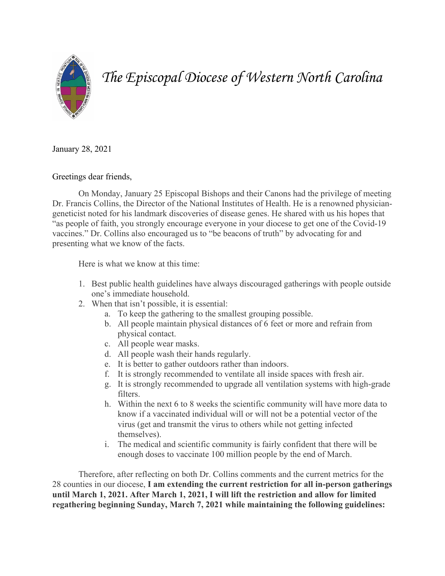

## *The Episcopal Diocese of Western North Carolina*

January 28, 2021

Greetings dear friends,

On Monday, January 25 Episcopal Bishops and their Canons had the privilege of meeting Dr. Francis Collins, the Director of the National Institutes of Health. He is a renowned physiciangeneticist noted for his landmark discoveries of disease genes. He shared with us his hopes that "as people of faith, you strongly encourage everyone in your diocese to get one of the Covid-19 vaccines." Dr. Collins also encouraged us to "be beacons of truth" by advocating for and presenting what we know of the facts.

Here is what we know at this time:

- 1. Best public health guidelines have always discouraged gatherings with people outside one's immediate household.
- 2. When that isn't possible, it is essential:
	- a. To keep the gathering to the smallest grouping possible.
	- b. All people maintain physical distances of 6 feet or more and refrain from physical contact.
	- c. All people wear masks.
	- d. All people wash their hands regularly.
	- e. It is better to gather outdoors rather than indoors.
	- f. It is strongly recommended to ventilate all inside spaces with fresh air.
	- g. It is strongly recommended to upgrade all ventilation systems with high-grade filters.
	- h. Within the next 6 to 8 weeks the scientific community will have more data to know if a vaccinated individual will or will not be a potential vector of the virus (get and transmit the virus to others while not getting infected themselves).
	- i. The medical and scientific community is fairly confident that there will be enough doses to vaccinate 100 million people by the end of March.

Therefore, after reflecting on both Dr. Collins comments and the current metrics for the 28 counties in our diocese, **I am extending the current restriction for all in-person gatherings until March 1, 2021. After March 1, 2021, I will lift the restriction and allow for limited regathering beginning Sunday, March 7, 2021 while maintaining the following guidelines:**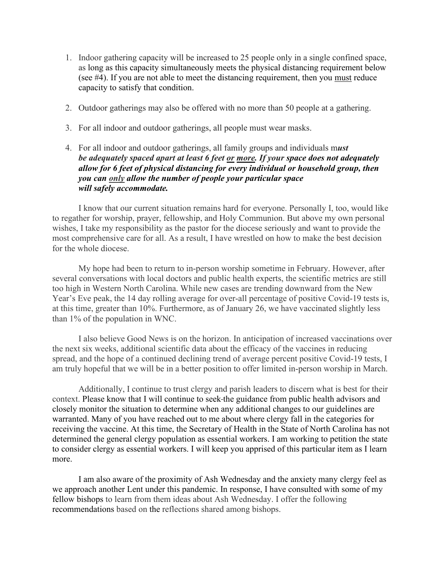- 1. Indoor gathering capacity will be increased to 25 people only in a single confined space, as long as this capacity simultaneously meets the physical distancing requirement below (see #4). If you are not able to meet the distancing requirement, then you must reduce capacity to satisfy that condition.
- 2. Outdoor gatherings may also be offered with no more than 50 people at a gathering.
- 3. For all indoor and outdoor gatherings, all people must wear masks.
- 4. For all indoor and outdoor gatherings, all family groups and individuals m*ust be adequately spaced apart at least 6 feet or more. If your space does not adequately allow for 6 feet of physical distancing for every individual or household group, then you can only allow the number of people your particular space will safely accommodate.*

I know that our current situation remains hard for everyone. Personally I, too, would like to regather for worship, prayer, fellowship, and Holy Communion. But above my own personal wishes, I take my responsibility as the pastor for the diocese seriously and want to provide the most comprehensive care for all. As a result, I have wrestled on how to make the best decision for the whole diocese.

My hope had been to return to in-person worship sometime in February. However, after several conversations with local doctors and public health experts, the scientific metrics are still too high in Western North Carolina. While new cases are trending downward from the New Year's Eve peak, the 14 day rolling average for over-all percentage of positive Covid-19 tests is, at this time, greater than 10%. Furthermore, as of January 26, we have vaccinated slightly less than 1% of the population in WNC.

I also believe Good News is on the horizon. In anticipation of increased vaccinations over the next six weeks, additional scientific data about the efficacy of the vaccines in reducing spread, and the hope of a continued declining trend of average percent positive Covid-19 tests, I am truly hopeful that we will be in a better position to offer limited in-person worship in March.

Additionally, I continue to trust clergy and parish leaders to discern what is best for their context. Please know that I will continue to seek the guidance from public health advisors and closely monitor the situation to determine when any additional changes to our guidelines are warranted. Many of you have reached out to me about where clergy fall in the categories for receiving the vaccine. At this time, the Secretary of Health in the State of North Carolina has not determined the general clergy population as essential workers. I am working to petition the state to consider clergy as essential workers. I will keep you apprised of this particular item as I learn more.

I am also aware of the proximity of Ash Wednesday and the anxiety many clergy feel as we approach another Lent under this pandemic. In response, I have consulted with some of my fellow bishops to learn from them ideas about Ash Wednesday. I offer the following recommendations based on the reflections shared among bishops.